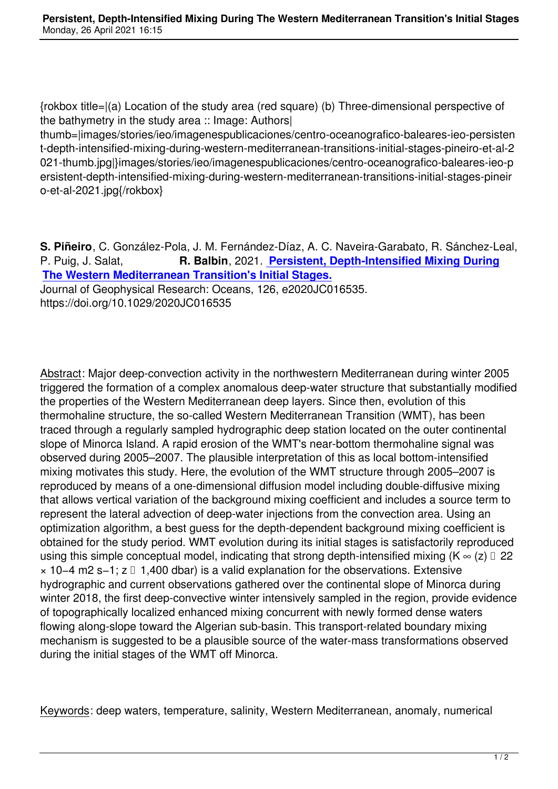{rokbox title=|(a) Location of the study area (red square) (b) Three-dimensional perspective of the bathymetry in the study area :: Image: Authors|

thumb=|images/stories/ieo/imagenespublicaciones/centro-oceanografico-baleares-ieo-persisten t-depth-intensified-mixing-during-western-mediterranean-transitions-initial-stages-pineiro-et-al-2 021-thumb.jpg|}images/stories/ieo/imagenespublicaciones/centro-oceanografico-baleares-ieo-p ersistent-depth-intensified-mixing-during-western-mediterranean-transitions-initial-stages-pineir o-et-al-2021.jpg{/rokbox}

**S. Piñeiro**, C. González‐Pola, J. M. Fernández‐Díaz, A. C. Naveira‐Garabato, R. Sánchez‐Leal, P. Puig, J. Salat, **R. Balbin**, 2021. **Persistent, Depth-Intensified Mixing During The Western Mediterranean Transition's Initial Stages.** Journal of Geophysical Research: Oceans, 126, e2020JC016535. https://doi.org/10.1029/2020JC016535

Abstract: Major deep‐convection activity in the northwestern Mediterranean during winter 2005 triggered the formation of a complex anomalous deep‐water structure that substantially modified the properties of the Western Mediterranean deep layers. Since then, evolution of this thermohaline structure, the so‐called Western Mediterranean Transition (WMT), has been traced through a regularly sampled hydrographic deep station located on the outer continental slope of Minorca Island. A rapid erosion of the WMT's near-bottom thermohaline signal was observed during 2005–2007. The plausible interpretation of this as local bottom‐intensified mixing motivates this study. Here, the evolution of the WMT structure through 2005–2007 is reproduced by means of a one‐dimensional diffusion model including double‐diffusive mixing that allows vertical variation of the background mixing coefficient and includes a source term to represent the lateral advection of deep-water injections from the convection area. Using an optimization algorithm, a best guess for the depth‐dependent background mixing coefficient is obtained for the study period. WMT evolution during its initial stages is satisfactorily reproduced using this simple conceptual model, indicating that strong depth-intensified mixing ( $K \approx (z) \square 22$ × 10−4 m2 s−1; z ⪆ 1,400 dbar) is a valid explanation for the observations. Extensive hydrographic and current observations gathered over the continental slope of Minorca during winter 2018, the first deep-convective winter intensively sampled in the region, provide evidence of topographically localized enhanced mixing concurrent with newly formed dense waters flowing along‐slope toward the Algerian sub‐basin. This transport‐related boundary mixing mechanism is suggested to be a plausible source of the water‐mass transformations observed during the initial stages of the WMT off Minorca.

Keywords: deep waters, temperature, salinity, Western Mediterranean, anomaly, numerical